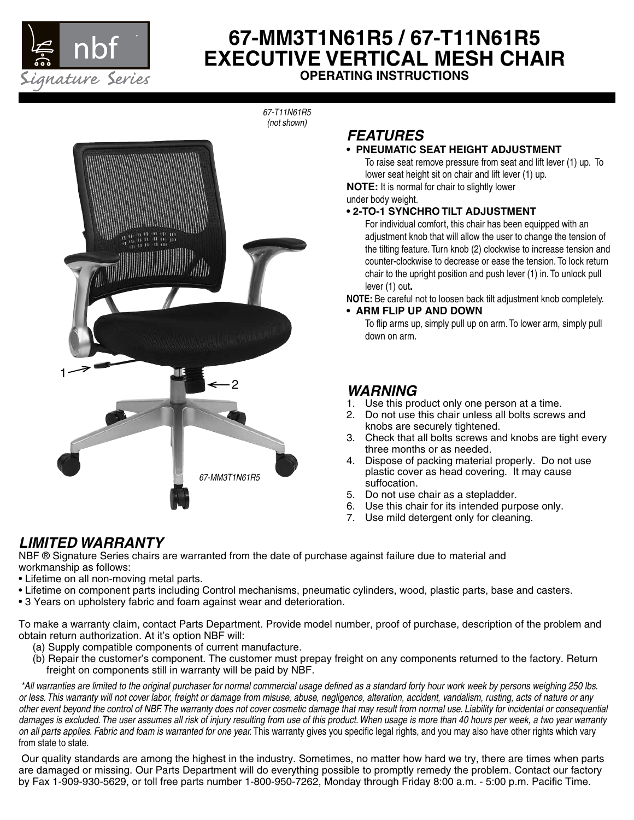

# **67-MM3T1N61R5 / 67-T11N61R5 EXECUTIVE VERTICAL MESH CHAIR OPERATING INSTRUCTIONS**

*67-T11N61R5 (not shown)*



# *FEATURES*

## **• PNEUMATIC SEAT HEIGHT ADJUSTMENT**

To raise seat remove pressure from seat and lift lever (1) up. To lower seat height sit on chair and lift lever (1) up.

**NOTE:** It is normal for chair to slightly lower

under body weight.

### **• 2-TO-1 SYNCHRO TILT ADJUSTMENT**

For individual comfort, this chair has been equipped with an adjustment knob that will allow the user to change the tension of the tilting feature. Turn knob (2) clockwise to increase tension and counter-clockwise to decrease or ease the tension. To lock return chair to the upright position and push lever (1) in. To unlock pull lever (1) out**.**

**NOTE:** Be careful not to loosen back tilt adjustment knob completely.

**• ARM FLIP UP AND DOWN**

To flip arms up, simply pull up on arm. To lower arm, simply pull down on arm.

## *WARNING*

- 1. Use this product only one person at a time.
- 2. Do not use this chair unless all bolts screws and knobs are securely tightened.
- 3. Check that all bolts screws and knobs are tight every three months or as needed.
- 4. Dispose of packing material properly. Do not use plastic cover as head covering. It may cause suffocation.
- 5. Do not use chair as a stepladder.
- 6. Use this chair for its intended purpose only.
- 7. Use mild detergent only for cleaning.

## *LIMITED WARRANTY*

NBF ® Signature Series chairs are warranted from the date of purchase against failure due to material and workmanship as follows:

- Lifetime on all non-moving metal parts.
- Lifetime on component parts including Control mechanisms, pneumatic cylinders, wood, plastic parts, base and casters.
- 3 Years on upholstery fabric and foam against wear and deterioration.

To make a warranty claim, contact Parts Department. Provide model number, proof of purchase, description of the problem and obtain return authorization. At it's option NBF will:

- (a) Supply compatible components of current manufacture.
- (b) Repair the customer's component. The customer must prepay freight on any components returned to the factory. Return freight on components still in warranty will be paid by NBF.

 *\*All warranties are limited to the original purchaser for normal commercial usage defined as a standard forty hour work week by persons weighing 250 lbs. or less. This warranty will not cover labor, freight or damage from misuse, abuse, negligence, alteration, accident, vandalism, rusting, acts of nature or any other event beyond the control of NBF. The warranty does not cover cosmetic damage that may result from normal use. Liability for incidental or consequential damages is excluded. The user assumes all risk of injury resulting from use of this product. When usage is more than 40 hours per week, a two year warranty on all parts applies. Fabric and foam is warranted for one year.* This warranty gives you specific legal rights, and you may also have other rights which vary from state to state.

Our quality standards are among the highest in the industry. Sometimes, no matter how hard we try, there are times when parts are damaged or missing. Our Parts Department will do everything possible to promptly remedy the problem. Contact our factory by Fax 1-909-930-5629, or toll free parts number 1-800-950-7262, Monday through Friday 8:00 a.m. - 5:00 p.m. Pacific Time.